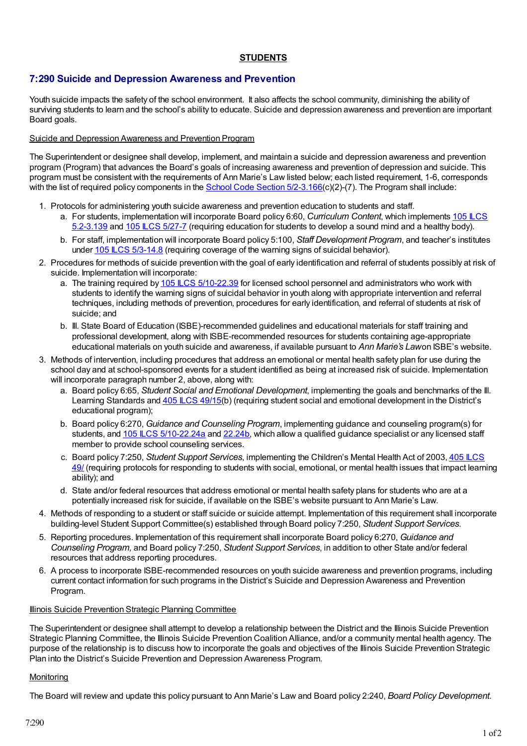### **STUDENTS**

# **7:290 Suicide and Depression Awareness and Prevention**

Youth suicide impacts the safety of the school environment. It also affects the school community, diminishing the ability of surviving students to learn and the school's ability to educate. Suicide and depression awareness and prevention are important Board goals.

# Suicide and Depression Awareness and Prevention Program

The Superintendent or designee shall develop, implement, and maintain a suicide and depression awareness and prevention program (Program) that advances the Board's goals of increasing awareness and prevention of depression and suicide. This program must be consistent with the requirements of Ann Marie's Law listed below; each listed requirement, 1-6, corresponds with the list of required policy components in the School Code Section [5/2-3.166\(](http://redirector.microscribepub.com/?cat=stat&loc=il&id=105&spec=5-2)c)(2)-(7). The Program shall include:

- 1. Protocols for administering youth suicide awareness and prevention education to students and staff.
	- a. For students, [implementation](http://redirector.microscribepub.com/?cat=stat&loc=il&id=105&spec=5) will incorporate Board policy 6:60, *Curriculum Content*, which implements 105 ILCS 5.2-3.139 and 105 ILCS [5/27-7](http://redirector.microscribepub.com/?cat=stat&loc=il&id=105&spec=5-27) (requiring education for students to develop a sound mind and a healthy body).
	- b. For staff, implementation will incorporate Board policy 5:100, *Staff Development Program*, and teacher's institutes under 105 LCS [5/3-14.8](http://redirector.microscribepub.com/?cat=stat&loc=il&id=105&spec=5-3) (requiring coverage of the warning signs of suicidal behavior).
- 2. Procedures for methods of suicide prevention with the goal of early identification and referral of students possibly at risk of suicide. Implementation will incorporate:
	- a. The training required by 105 ILCS [5/10-22.39](http://redirector.microscribepub.com/?cat=stat&loc=il&id=105&spec=5-10) for licensed school personnel and administrators who work with students to identify the warning signs of suicidal behavior in youth along with appropriate intervention and referral techniques, including methods of prevention, procedures for early identification, and referral of students at risk of suicide; and
	- b. Ill. State Board of Education (ISBE)-recommended guidelines and educational materials for staff training and professional development, along with ISBE-recommended resources for students containing age-appropriate educational materials on youth suicide and awareness, if available pursuant to *Ann Marie's Law*on ISBE's website.
- 3. Methods of intervention, including procedures that address an emotional or mental health safety plan for use during the school day and at school-sponsored events for a student identified as being at increased risk of suicide. Implementation will incorporate paragraph number 2, above, along with:
	- a. Board policy 6:65, *Student Social and Emotional Development*, implementing the goals and benchmarks of the Ill. Learning Standards and 405 ILCS [49/15\(](http://redirector.microscribepub.com/?cat=stat&loc=il&id=405&spec=49)b) (requiring student social and emotional development in the District's educational program);
	- b. Board policy 6:270, *Guidance and Counseling Program*, implementing guidance and counseling program(s) for students, and 105 LCS [5/10-22.24a](http://redirector.microscribepub.com/?cat=stat&loc=il&id=105&spec=5-10) and [22.24b](http://redirector.microscribepub.com/?cat=stat&loc=il&id=105&spec=5-10), which allow a qualified guidance specialist or any licensed staff member to provide school counseling services.
	- c. Board policy 7:250, *Student Support Services*, [implementing](http://redirector.microscribepub.com/?cat=stat&loc=il&id=405&spec=49) the Children's Mental Health Act of 2003, 405 ILCS 49/ (requiring protocols for responding to students with social, emotional, or mental health issues that impact learning ability); and
	- d. State and/or federal resources that address emotional or mental health safety plans for students who are at a potentially increased risk for suicide, if available on the ISBE's website pursuant to Ann Marie's Law.
- 4. Methods of responding to a student or staff suicide or suicide attempt. Implementation of this requirement shall incorporate building-level Student Support Committee(s) established through Board policy 7:250, *Student Support Services*.
- 5. Reporting procedures. Implementation of this requirement shall incorporate Board policy 6:270, *Guidance and Counseling Program,* and Board policy 7:250, *Student Support Services*, in addition to other State and/or federal resources that address reporting procedures.
- 6. A process to incorporate ISBE-recommended resources on youth suicide awareness and prevention programs, including current contact information for such programs in the District's Suicide and Depression Awareness and Prevention Program.

# Illinois Suicide Prevention Strategic Planning Committee

The Superintendent or designee shall attempt to develop a relationship between the District and the Illinois Suicide Prevention Strategic Planning Committee, the Illinois Suicide Prevention Coalition Alliance, and/or a community mental health agency. The purpose of the relationship is to discuss how to incorporate the goals and objectives of the Illinois Suicide Prevention Strategic Plan into the District's Suicide Prevention and Depression Awareness Program.

# **Monitoring**

The Board will review and update this policy pursuant to Ann Marie's Law and Board policy 2:240, *Board Policy Development*.